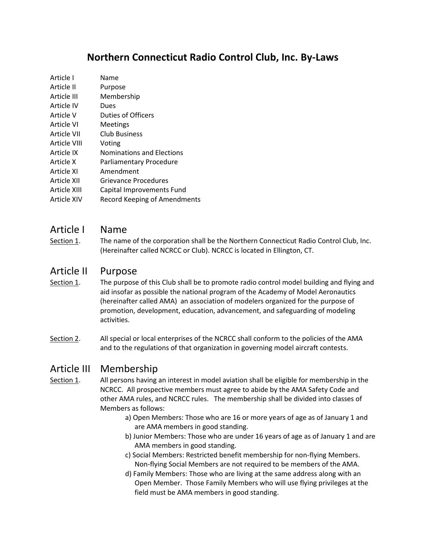# **Northern Connecticut Radio Control Club, Inc. By-Laws**

| Article I    | Name                                |
|--------------|-------------------------------------|
| Article II   | Purpose                             |
| Article III  | Membership                          |
| Article IV   | Dues                                |
| Article V    | Duties of Officers                  |
| Article VI   | Meetings                            |
| Article VII  | <b>Club Business</b>                |
| Article VIII | Voting                              |
| Article IX   | Nominations and Elections           |
| Article X    | Parliamentary Procedure             |
| Article XI   | Amendment                           |
| Article XII  | Grievance Procedures                |
| Article XIII | Capital Improvements Fund           |
| Article XIV  | <b>Record Keeping of Amendments</b> |
|              |                                     |

### Article I Name

Section 1. The name of the corporation shall be the Northern Connecticut Radio Control Club, Inc. (Hereinafter called NCRCC or Club). NCRCC is located in Ellington, CT.

### Article II Purpose

- Section 1. The purpose of this Club shall be to promote radio control model building and flying and aid insofar as possible the national program of the Academy of Model Aeronautics (hereinafter called AMA) an association of modelers organized for the purpose of promotion, development, education, advancement, and safeguarding of modeling activities.
- Section 2. All special or local enterprises of the NCRCC shall conform to the policies of the AMA and to the regulations of that organization in governing model aircraft contests.

### Article III Membership

- Section 1. All persons having an interest in model aviation shall be eligible for membership in the NCRCC. All prospective members must agree to abide by the AMA Safety Code and other AMA rules, and NCRCC rules. The membership shall be divided into classes of Members as follows:
	- a) Open Members: Those who are 16 or more years of age as of January 1 and are AMA members in good standing.
	- b) Junior Members: Those who are under 16 years of age as of January 1 and are AMA members in good standing.
	- c) Social Members: Restricted benefit membership for non-flying Members. Non-flying Social Members are not required to be members of the AMA.
	- d) Family Members: Those who are living at the same address along with an Open Member. Those Family Members who will use flying privileges at the field must be AMA members in good standing.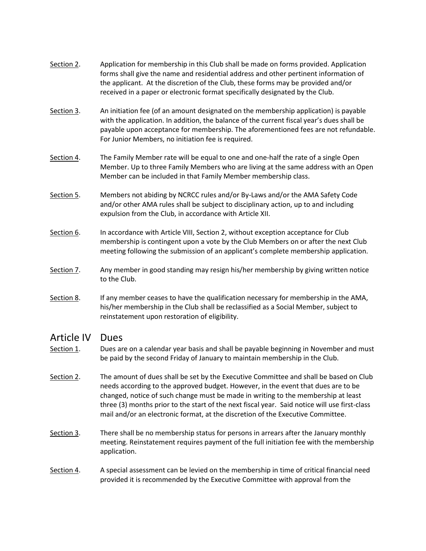- Section 2. Application for membership in this Club shall be made on forms provided. Application forms shall give the name and residential address and other pertinent information of the applicant. At the discretion of the Club, these forms may be provided and/or received in a paper or electronic format specifically designated by the Club.
- Section 3. An initiation fee (of an amount designated on the membership application) is payable with the application. In addition, the balance of the current fiscal year's dues shall be payable upon acceptance for membership. The aforementioned fees are not refundable. For Junior Members, no initiation fee is required.
- Section 4. The Family Member rate will be equal to one and one-half the rate of a single Open Member. Up to three Family Members who are living at the same address with an Open Member can be included in that Family Member membership class.
- Section 5. Members not abiding by NCRCC rules and/or By-Laws and/or the AMA Safety Code and/or other AMA rules shall be subject to disciplinary action, up to and including expulsion from the Club, in accordance with Article XII.
- Section 6. In accordance with Article VIII, Section 2, without exception acceptance for Club membership is contingent upon a vote by the Club Members on or after the next Club meeting following the submission of an applicant's complete membership application.
- Section 7. Any member in good standing may resign his/her membership by giving written notice to the Club.
- Section 8. If any member ceases to have the qualification necessary for membership in the AMA, his/her membership in the Club shall be reclassified as a Social Member, subject to reinstatement upon restoration of eligibility.

### Article IV Dues

- Section 1. Dues are on a calendar year basis and shall be payable beginning in November and must be paid by the second Friday of January to maintain membership in the Club.
- Section 2. The amount of dues shall be set by the Executive Committee and shall be based on Club needs according to the approved budget. However, in the event that dues are to be changed, notice of such change must be made in writing to the membership at least three (3) months prior to the start of the next fiscal year. Said notice will use first-class mail and/or an electronic format, at the discretion of the Executive Committee.
- Section 3. There shall be no membership status for persons in arrears after the January monthly meeting. Reinstatement requires payment of the full initiation fee with the membership application.
- Section 4. A special assessment can be levied on the membership in time of critical financial need provided it is recommended by the Executive Committee with approval from the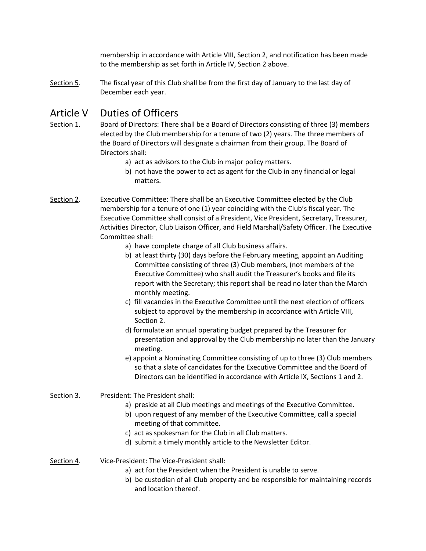membership in accordance with Article VIII, Section 2, and notification has been made to the membership as set forth in Article IV, Section 2 above.

Section 5. The fiscal year of this Club shall be from the first day of January to the last day of December each year.

# Article V Duties of Officers

- Section 1. Board of Directors: There shall be a Board of Directors consisting of three (3) members elected by the Club membership for a tenure of two (2) years. The three members of the Board of Directors will designate a chairman from their group. The Board of Directors shall:
	- a) act as advisors to the Club in major policy matters.
	- b) not have the power to act as agent for the Club in any financial or legal matters.
- Section 2. Executive Committee: There shall be an Executive Committee elected by the Club membership for a tenure of one (1) year coinciding with the Club's fiscal year. The Executive Committee shall consist of a President, Vice President, Secretary, Treasurer, Activities Director, Club Liaison Officer, and Field Marshall/Safety Officer. The Executive Committee shall:
	- a) have complete charge of all Club business affairs.
	- b) at least thirty (30) days before the February meeting, appoint an Auditing Committee consisting of three (3) Club members, (not members of the Executive Committee) who shall audit the Treasurer's books and file its report with the Secretary; this report shall be read no later than the March monthly meeting.
	- c) fill vacancies in the Executive Committee until the next election of officers subject to approval by the membership in accordance with Article VIII, Section 2.
	- d) formulate an annual operating budget prepared by the Treasurer for presentation and approval by the Club membership no later than the January meeting.
	- e) appoint a Nominating Committee consisting of up to three (3) Club members so that a slate of candidates for the Executive Committee and the Board of Directors can be identified in accordance with Article IX, Sections 1 and 2.
- Section 3. President: The President shall:
	- a) preside at all Club meetings and meetings of the Executive Committee.
	- b) upon request of any member of the Executive Committee, call a special meeting of that committee.
	- c) act as spokesman for the Club in all Club matters.
	- d) submit a timely monthly article to the Newsletter Editor.
- Section 4. Vice-President: The Vice-President shall:
	- a) act for the President when the President is unable to serve.
	- b) be custodian of all Club property and be responsible for maintaining records and location thereof.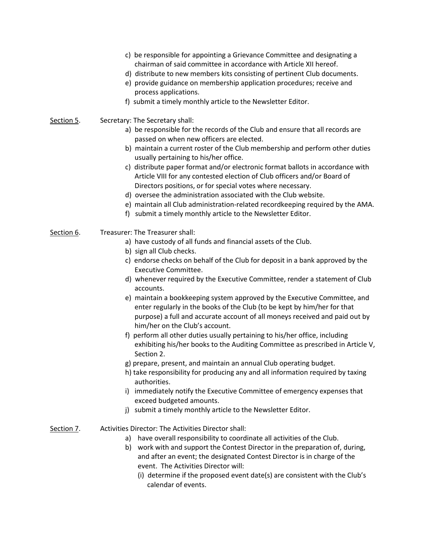- c) be responsible for appointing a Grievance Committee and designating a chairman of said committee in accordance with Article XII hereof.
- d) distribute to new members kits consisting of pertinent Club documents.
- e) provide guidance on membership application procedures; receive and process applications.
- f) submit a timely monthly article to the Newsletter Editor.
- Section 5. Secretary: The Secretary shall:
	- a) be responsible for the records of the Club and ensure that all records are passed on when new officers are elected.
	- b) maintain a current roster of the Club membership and perform other duties usually pertaining to his/her office.
	- c) distribute paper format and/or electronic format ballots in accordance with Article VIII for any contested election of Club officers and/or Board of Directors positions, or for special votes where necessary.
	- d) oversee the administration associated with the Club website.
	- e) maintain all Club administration-related recordkeeping required by the AMA.
		- f) submit a timely monthly article to the Newsletter Editor.
- Section 6. Treasurer: The Treasurer shall:
	- a) have custody of all funds and financial assets of the Club.
	- b) sign all Club checks.
	- c) endorse checks on behalf of the Club for deposit in a bank approved by the Executive Committee.
	- d) whenever required by the Executive Committee, render a statement of Club accounts.
	- e) maintain a bookkeeping system approved by the Executive Committee, and enter regularly in the books of the Club (to be kept by him/her for that purpose) a full and accurate account of all moneys received and paid out by him/her on the Club's account.
	- f) perform all other duties usually pertaining to his/her office, including exhibiting his/her books to the Auditing Committee as prescribed in Article V, Section 2.
	- g) prepare, present, and maintain an annual Club operating budget.
	- h) take responsibility for producing any and all information required by taxing authorities.
	- i) immediately notify the Executive Committee of emergency expenses that exceed budgeted amounts.
	- j) submit a timely monthly article to the Newsletter Editor.
- Section 7. Activities Director: The Activities Director shall:
	- a) have overall responsibility to coordinate all activities of the Club.
	- b) work with and support the Contest Director in the preparation of, during, and after an event; the designated Contest Director is in charge of the event. The Activities Director will:
		- (i) determine if the proposed event date(s) are consistent with the Club's calendar of events.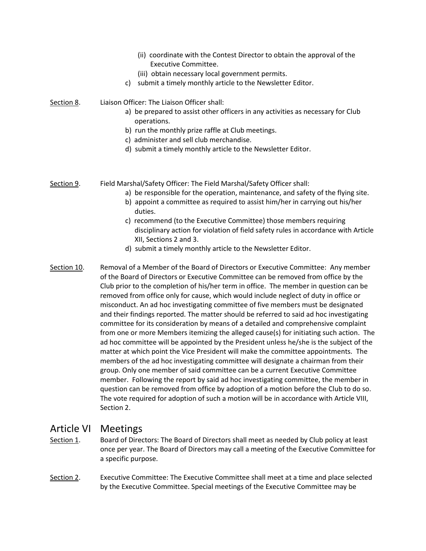|             | (ii) coordinate with the Contest Director to obtain the approval of the<br>Executive Committee.<br>(iii) obtain necessary local government permits.<br>submit a timely monthly article to the Newsletter Editor.<br>c)                                                                                                                                                                                                                                                                                    |
|-------------|-----------------------------------------------------------------------------------------------------------------------------------------------------------------------------------------------------------------------------------------------------------------------------------------------------------------------------------------------------------------------------------------------------------------------------------------------------------------------------------------------------------|
| Section 8.  | Liaison Officer: The Liaison Officer shall:<br>a) be prepared to assist other officers in any activities as necessary for Club<br>operations.<br>b) run the monthly prize raffle at Club meetings.<br>c) administer and sell club merchandise.<br>d) submit a timely monthly article to the Newsletter Editor.                                                                                                                                                                                            |
| Section 9.  | Field Marshal/Safety Officer: The Field Marshal/Safety Officer shall:<br>a) be responsible for the operation, maintenance, and safety of the flying site.<br>b) appoint a committee as required to assist him/her in carrying out his/her<br>duties.<br>c) recommend (to the Executive Committee) those members requiring<br>disciplinary action for violation of field safety rules in accordance with Article<br>XII, Sections 2 and 3.<br>d) submit a timely monthly article to the Newsletter Editor. |
| Section 10. | Removal of a Member of the Board of Directors or Executive Committee: Any member<br>of the Board of Directors or Executive Committee can be removed from office by the<br>Club prior to the completion of his/her term in office. The member in question can be<br>removed from office only for cause, which would include neglect of duty in office or<br>misconduct. An ad hoc investigating committee of five members must be designated                                                               |

and their findings reported. The matter should be referred to said ad hoc investigating committee for its consideration by means of a detailed and comprehensive complaint from one or more Members itemizing the alleged cause(s) for initiating such action. The ad hoc committee will be appointed by the President unless he/she is the subject of the matter at which point the Vice President will make the committee appointments. The members of the ad hoc investigating committee will designate a chairman from their group. Only one member of said committee can be a current Executive Committee member. Following the report by said ad hoc investigating committee, the member in question can be removed from office by adoption of a motion before the Club to do so. The vote required for adoption of such a motion will be in accordance with Article VIII, Section 2.

# Article VI Meetings

- Section 1. Board of Directors: The Board of Directors shall meet as needed by Club policy at least once per year. The Board of Directors may call a meeting of the Executive Committee for a specific purpose.
- Section 2. Executive Committee: The Executive Committee shall meet at a time and place selected by the Executive Committee. Special meetings of the Executive Committee may be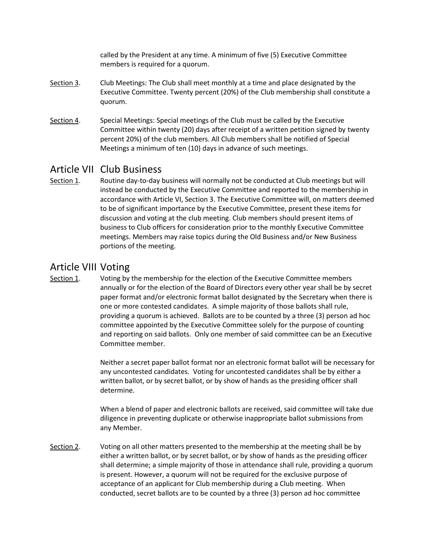called by the President at any time. A minimum of five (5) Executive Committee members is required for a quorum.

- Section 3. Club Meetings: The Club shall meet monthly at a time and place designated by the Executive Committee. Twenty percent (20%) of the Club membership shall constitute a quorum.
- Section 4. Special Meetings: Special meetings of the Club must be called by the Executive Committee within twenty (20) days after receipt of a written petition signed by twenty percent 20%) of the club members. All Club members shall be notified of Special Meetings a minimum of ten (10) days in advance of such meetings.

### Article VII Club Business

Section 1. Routine day-to-day business will normally not be conducted at Club meetings but will instead be conducted by the Executive Committee and reported to the membership in accordance with Article VI, Section 3. The Executive Committee will, on matters deemed to be of significant importance by the Executive Committee, present these items for discussion and voting at the club meeting. Club members should present items of business to Club officers for consideration prior to the monthly Executive Committee meetings. Members may raise topics during the Old Business and/or New Business portions of the meeting.

### Article VIII Voting

Section 1. Voting by the membership for the election of the Executive Committee members annually or for the election of the Board of Directors every other year shall be by secret paper format and/or electronic format ballot designated by the Secretary when there is one or more contested candidates. A simple majority of those ballots shall rule, providing a quorum is achieved. Ballots are to be counted by a three (3) person ad hoc committee appointed by the Executive Committee solely for the purpose of counting and reporting on said ballots. Only one member of said committee can be an Executive Committee member.

> Neither a secret paper ballot format nor an electronic format ballot will be necessary for any uncontested candidates. Voting for uncontested candidates shall be by either a written ballot, or by secret ballot, or by show of hands as the presiding officer shall determine.

> When a blend of paper and electronic ballots are received, said committee will take due diligence in preventing duplicate or otherwise inappropriate ballot submissions from any Member.

Section 2. Voting on all other matters presented to the membership at the meeting shall be by either a written ballot, or by secret ballot, or by show of hands as the presiding officer shall determine; a simple majority of those in attendance shall rule, providing a quorum is present. However, a quorum will not be required for the exclusive purpose of acceptance of an applicant for Club membership during a Club meeting. When conducted, secret ballots are to be counted by a three (3) person ad hoc committee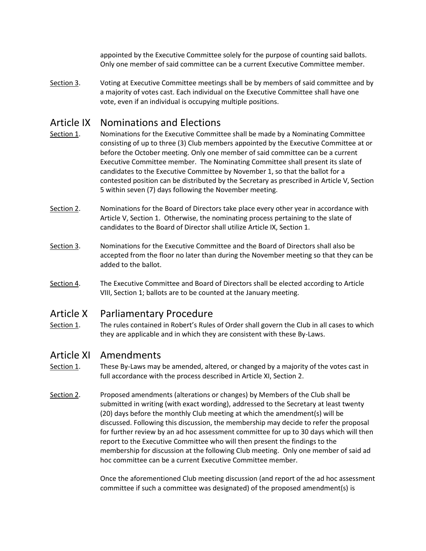appointed by the Executive Committee solely for the purpose of counting said ballots. Only one member of said committee can be a current Executive Committee member.

Section 3. Voting at Executive Committee meetings shall be by members of said committee and by a majority of votes cast. Each individual on the Executive Committee shall have one vote, even if an individual is occupying multiple positions.

## Article IX Nominations and Elections

- Section 1. Nominations for the Executive Committee shall be made by a Nominating Committee consisting of up to three (3) Club members appointed by the Executive Committee at or before the October meeting. Only one member of said committee can be a current Executive Committee member. The Nominating Committee shall present its slate of candidates to the Executive Committee by November 1, so that the ballot for a contested position can be distributed by the Secretary as prescribed in Article V, Section 5 within seven (7) days following the November meeting.
- Section 2. Nominations for the Board of Directors take place every other year in accordance with Article V, Section 1. Otherwise, the nominating process pertaining to the slate of candidates to the Board of Director shall utilize Article IX, Section 1.
- Section 3. Nominations for the Executive Committee and the Board of Directors shall also be accepted from the floor no later than during the November meeting so that they can be added to the ballot.
- Section 4. The Executive Committee and Board of Directors shall be elected according to Article VIII, Section 1; ballots are to be counted at the January meeting.

### Article X Parliamentary Procedure

Section 1. The rules contained in Robert's Rules of Order shall govern the Club in all cases to which they are applicable and in which they are consistent with these By-Laws.

### Article XI Amendments

- Section 1. These By-Laws may be amended, altered, or changed by a majority of the votes cast in full accordance with the process described in Article XI, Section 2.
- Section 2. Proposed amendments (alterations or changes) by Members of the Club shall be submitted in writing (with exact wording), addressed to the Secretary at least twenty (20) days before the monthly Club meeting at which the amendment(s) will be discussed. Following this discussion, the membership may decide to refer the proposal for further review by an ad hoc assessment committee for up to 30 days which will then report to the Executive Committee who will then present the findings to the membership for discussion at the following Club meeting. Only one member of said ad hoc committee can be a current Executive Committee member.

Once the aforementioned Club meeting discussion (and report of the ad hoc assessment committee if such a committee was designated) of the proposed amendment(s) is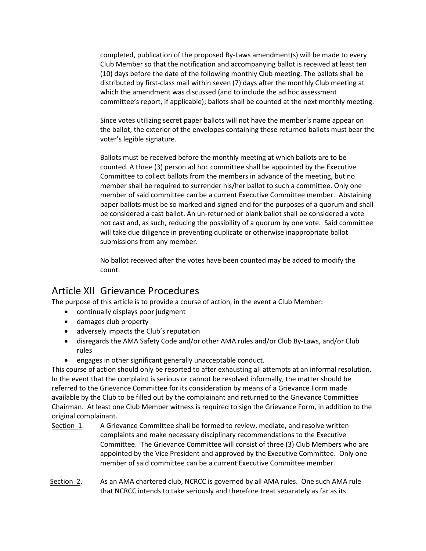completed, publication of the proposed By-Laws amendment(s) will be made to every Club Member so that the notification and accompanying ballot is received at least ten (10) days before the date of the following monthly Club meeting. The ballots shall be distributed by first-class mail within seven (7) days after the monthly Club meeting at which the amendment was discussed (and to include the ad hoc assessment committee's report, if applicable); ballots shall be counted at the next monthly meeting.

Since votes utilizing secret paper ballots will not have the member's name appear on the ballot, the exterior of the envelopes containing these returned ballots must bear the voter's legible signature.

Ballots must be received before the monthly meeting at which ballots are to be counted. A three (3) person ad hoc committee shall be appointed by the Executive Committee to collect ballots from the members in advance of the meeting, but no member shall be required to surrender his/her ballot to such a committee. Only one member of said committee can be a current Executive Committee member. Abstaining paper ballots must be so marked and signed and for the purposes of a quorum and shall be considered a cast ballot. An un-returned or blank ballot shall be considered a vote not cast and, as such, reducing the possibility of a quorum by one vote. Said committee will take due diligence in preventing duplicate or otherwise inappropriate ballot submissions from any member.

No ballot received after the votes have been counted may be added to modify the count.

### Article XII Grievance Procedures

The purpose of this article is to provide a course of action, in the event a Club Member:

- continually displays poor judgment
- damages club property
- adversely impacts the Club's reputation
- disregards the AMA Safety Code and/or other AMA rules and/or Club By-Laws, and/or Club rules
- engages in other significant generally unacceptable conduct.

This course of action should only be resorted to after exhausting all attempts at an informal resolution. In the event that the complaint is serious or cannot be resolved informally, the matter should be referred to the Grievance Committee for its consideration by means of a Grievance Form made available by the Club to be filled out by the complainant and returned to the Grievance Committee Chairman. At least one Club Member witness is required to sign the Grievance Form, in addition to the original complainant.

- Section 1. A Grievance Committee shall be formed to review, mediate, and resolve written complaints and make necessary disciplinary recommendations to the Executive Committee. The Grievance Committee will consist of three (3) Club Members who are appointed by the Vice President and approved by the Executive Committee. Only one member of said committee can be a current Executive Committee member.
- Section 2. As an AMA chartered club, NCRCC is governed by all AMA rules. One such AMA rule that NCRCC intends to take seriously and therefore treat separately as far as its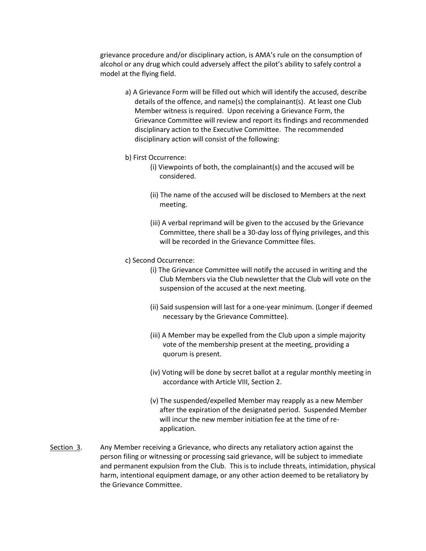grievance procedure and/or disciplinary action, is AMA's rule on the consumption of alcohol or any drug which could adversely affect the pilot's ability to safely control a model at the flying field.

- a) A Grievance Form will be filled out which will identify the accused, describe details of the offence, and name(s) the complainant(s). At least one Club Member witness is required. Upon receiving a Grievance Form, the Grievance Committee will review and report its findings and recommended disciplinary action to the Executive Committee. The recommended disciplinary action will consist of the following:
- b) First Occurrence:
	- (i) Viewpoints of both, the complainant(s) and the accused will be considered.
	- (ii) The name of the accused will be disclosed to Members at the next meeting.
	- (iii) A verbal reprimand will be given to the accused by the Grievance Committee, there shall be a 30-day loss of flying privileges, and this will be recorded in the Grievance Committee files.
- c) Second Occurrence:
	- (i) The Grievance Committee will notify the accused in writing and the Club Members via the Club newsletter that the Club will vote on the suspension of the accused at the next meeting.
	- (ii) Said suspension will last for a one-year minimum. (Longer if deemed necessary by the Grievance Committee).
	- (iii) A Member may be expelled from the Club upon a simple majority vote of the membership present at the meeting, providing a quorum is present.
	- (iv) Voting will be done by secret ballot at a regular monthly meeting in accordance with Article VIII, Section 2.
	- (v) The suspended/expelled Member may reapply as a new Member after the expiration of the designated period. Suspended Member will incur the new member initiation fee at the time of reapplication.
- Section 3. Any Member receiving a Grievance, who directs any retaliatory action against the person filing or witnessing or processing said grievance, will be subject to immediate and permanent expulsion from the Club. This is to include threats, intimidation, physical harm, intentional equipment damage, or any other action deemed to be retaliatory by the Grievance Committee.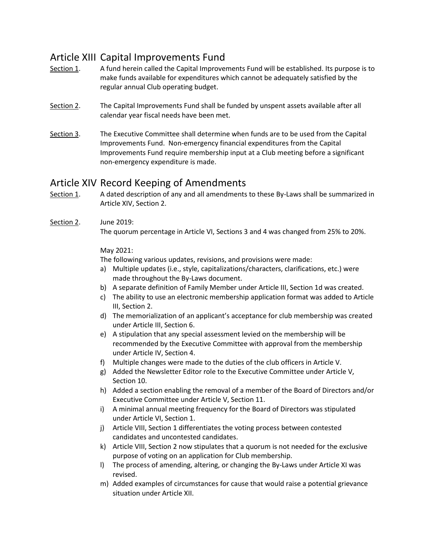# Article XIII Capital Improvements Fund

- Section 1. A fund herein called the Capital Improvements Fund will be established. Its purpose is to make funds available for expenditures which cannot be adequately satisfied by the regular annual Club operating budget.
- Section 2. The Capital Improvements Fund shall be funded by unspent assets available after all calendar year fiscal needs have been met.
- Section 3. The Executive Committee shall determine when funds are to be used from the Capital Improvements Fund. Non-emergency financial expenditures from the Capital Improvements Fund require membership input at a Club meeting before a significant non-emergency expenditure is made.

## Article XIV Record Keeping of Amendments

- Section 1. A dated description of any and all amendments to these By-Laws shall be summarized in Article XIV, Section 2.
- Section 2. June 2019:

The quorum percentage in Article VI, Sections 3 and 4 was changed from 25% to 20%.

### May 2021:

The following various updates, revisions, and provisions were made:

- a) Multiple updates (i.e., style, capitalizations/characters, clarifications, etc.) were made throughout the By-Laws document.
- b) A separate definition of Family Member under Article III, Section 1d was created.
- c) The ability to use an electronic membership application format was added to Article III, Section 2.
- d) The memorialization of an applicant's acceptance for club membership was created under Article III, Section 6.
- e) A stipulation that any special assessment levied on the membership will be recommended by the Executive Committee with approval from the membership under Article IV, Section 4.
- f) Multiple changes were made to the duties of the club officers in Article V.
- g) Added the Newsletter Editor role to the Executive Committee under Article V, Section 10.
- h) Added a section enabling the removal of a member of the Board of Directors and/or Executive Committee under Article V, Section 11.
- i) A minimal annual meeting frequency for the Board of Directors was stipulated under Article VI, Section 1.
- j) Article VIII, Section 1 differentiates the voting process between contested candidates and uncontested candidates.
- k) Article VIII, Section 2 now stipulates that a quorum is not needed for the exclusive purpose of voting on an application for Club membership.
- l) The process of amending, altering, or changing the By-Laws under Article XI was revised.
- m) Added examples of circumstances for cause that would raise a potential grievance situation under Article XII.